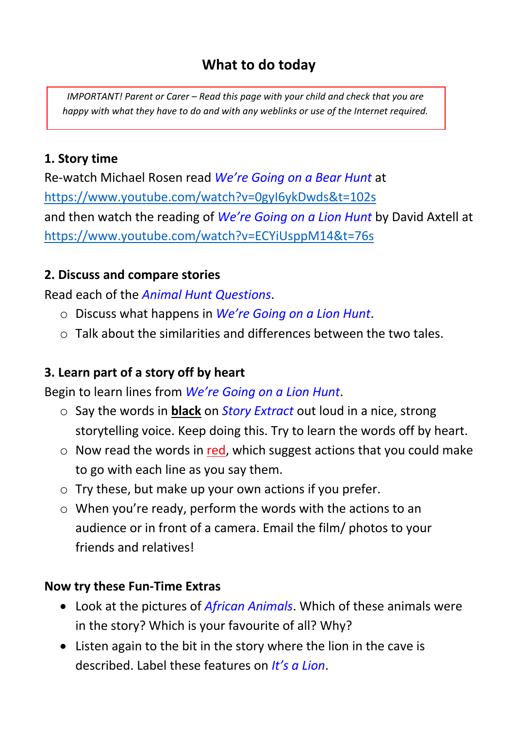## **What to do today**

*IMPORTANT! Parent or Carer – Read this page with your child and check that you are happy with what they have to do and with any weblinks or use of the Internet required.*

#### **1. Story time**

Re-watch Michael Rosen read *We're Going on a Bear Hunt* at https://www.youtube.com/watch?v=0gyI6ykDwds&t=102s and then watch the reading of *We're Going on a Lion Hunt* by David Axtell at https://www.youtube.com/watch?v=ECYiUsppM14&t=76s

### **2. Discuss and compare stories**

Read each of the *Animal Hunt Questions*.

- o Discuss what happens in *We're Going on a Lion Hunt*.
- $\circ$  Talk about the similarities and differences between the two tales.

### **3. Learn part of a story off by heart**

Begin to learn lines from *We're Going on a Lion Hunt*.

- o Say the words in **black** on *Story Extract* out loud in a nice, strong storytelling voice. Keep doing this. Try to learn the words off by heart.
- $\circ$  Now read the words in red, which suggest actions that you could make to go with each line as you say them.
- $\circ$  Try these, but make up your own actions if you prefer.
- o When you're ready, perform the words with the actions to an audience or in front of a camera. Email the film/ photos to your friends and relatives!

#### **Now try these Fun-Time Extras**

- Look at the pictures of *African Animals*. Which of these animals were in the story? Which is your favourite of all? Why?
- Listen again to the bit in the story where the lion in the cave is described. Label these features on *It's a Lion*.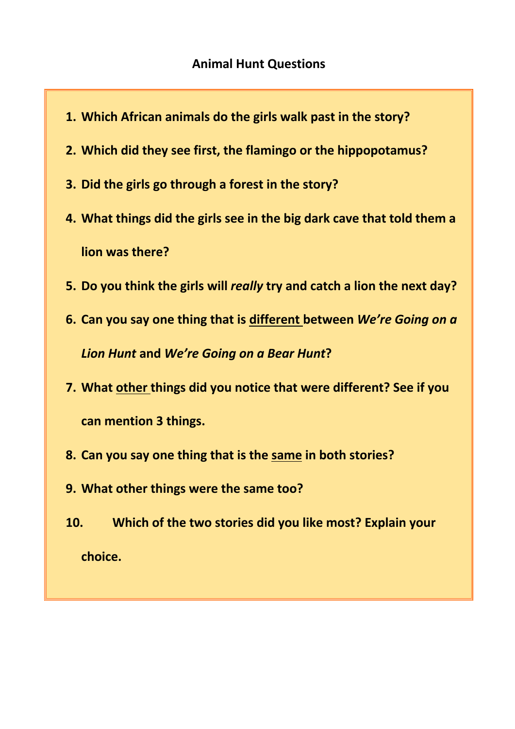- **1. Which African animals do the girls walk past in the story?**
- **2. Which did they see first, the flamingo or the hippopotamus?**
- **3. Did the girls go through a forest in the story?**
- **4. What things did the girls see in the big dark cave that told them a lion was there?**
- **5. Do you think the girls will** *really* **try and catch a lion the next day?**
- **6. Can you say one thing that is different between** *We're Going on a Lion Hunt* **and** *We're Going on a Bear Hunt***?**
- **7. What other things did you notice that were different? See if you can mention 3 things.**
- **8. Can you say one thing that is the same in both stories?**
- **9. What other things were the same too?**
- **10. Which of the two stories did you like most? Explain your choice.**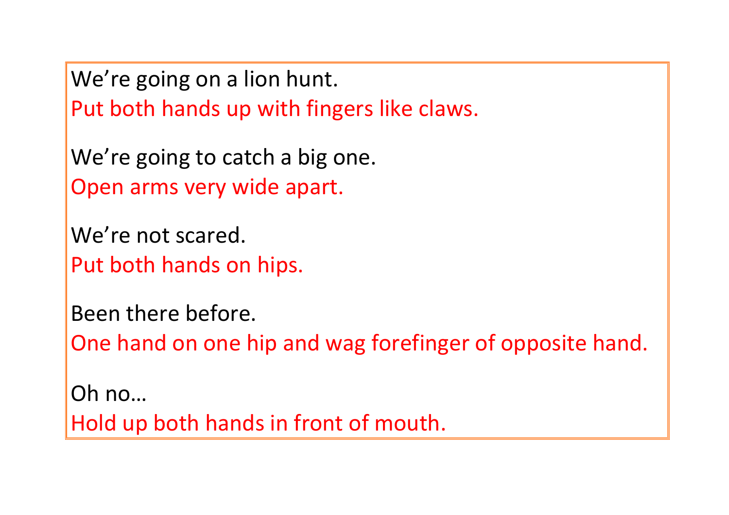We're going on a lion hunt. Put both hands up with fingers like claws.

We're going to catch a big one. Open arms very wide apart.

We're not scared. Put both hands on hips.

Been there before.

One hand on one hip and wag forefinger of opposite hand.

Oh no… Hold up both hands in front of mouth.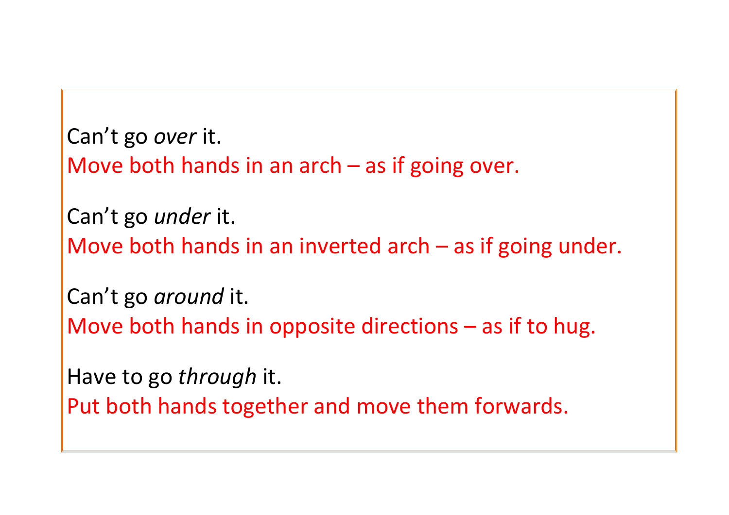```
Can't go over it.
Move both hands in an arch – as if going over.
Can't go under it.
Move both hands in an inverted arch – as if going under.
Can't go around it.
Move both hands in opposite directions – as if to hug. 
Have to go through it. 
Put both hands together and move them forwards.
```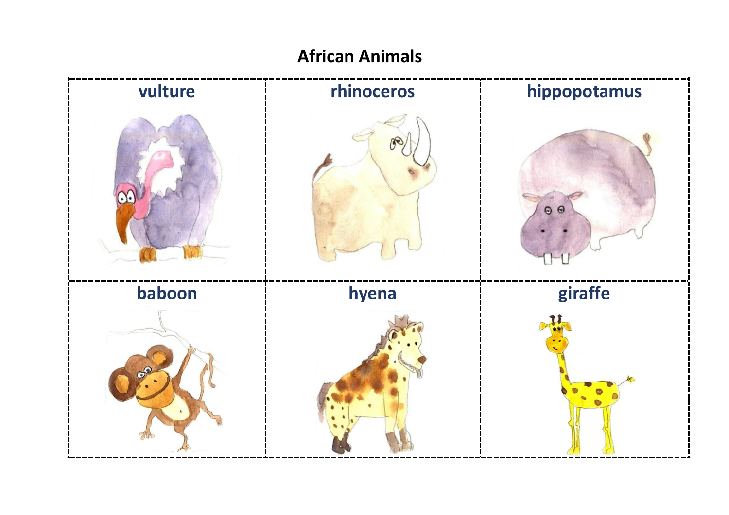# **African Animals**